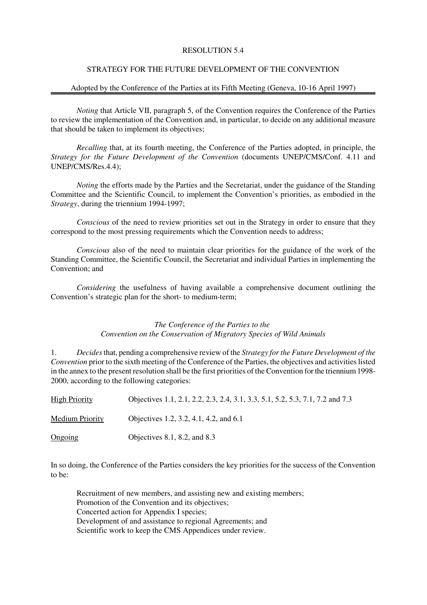## RESOLUTION 5.4

#### STRATEGY FOR THE FUTURE DEVELOPMENT OF THE CONVENTION

#### Adopted by the Conference of the Parties at its Fifth Meeting (Geneva, 10-16 April 1997)

*Noting* that Article VII, paragraph 5, of the Convention requires the Conference of the Parties to review the implementation of the Convention and, in particular, to decide on any additional measure that should be taken to implement its objectives;

*Recalling* that, at its fourth meeting, the Conference of the Parties adopted, in principle, the *Strategy for the Future Development of the Convention* (documents UNEP/CMS/Conf. 4.11 and UNEP/CMS/Res.4.4);

*Noting* the efforts made by the Parties and the Secretariat, under the guidance of the Standing Committee and the Scientific Council, to implement the Convention's priorities, as embodied in the *Strategy*, during the triennium 1994-1997;

*Conscious* of the need to review priorities set out in the Strategy in order to ensure that they correspond to the most pressing requirements which the Convention needs to address;

*Conscious* also of the need to maintain clear priorities for the guidance of the work of the Standing Committee, the Scientific Council, the Secretariat and individual Parties in implementing the Convention; and

*Considering* the usefulness of having available a comprehensive document outlining the Convention's strategic plan for the short- to medium-term;

#### *The Conference of the Parties to the Convention on the Conservation of Migratory Species of Wild Animals*

1. *Decides* that, pending a comprehensive review of the *Strategy for the Future Development of the Convention* prior to the sixth meeting of the Conference of the Parties, the objectives and activities listed in the annex to the present resolution shall be the first priorities of the Convention for the triennium 1998- 2000, according to the following categories:

| <b>High Priority</b>   | Objectives 1.1, 2.1, 2.2, 2.3, 2.4, 3.1, 3.3, 5.1, 5.2, 5.3, 7.1, 7.2 and 7.3 |
|------------------------|-------------------------------------------------------------------------------|
| <b>Medium Priority</b> | Objectives 1.2, 3.2, 4.1, 4.2, and 6.1                                        |
| Ongoing                | Objectives $8.1, 8.2,$ and $8.3$                                              |

In so doing, the Conference of the Parties considers the key priorities for the success of the Convention to be:

Recruitment of new members, and assisting new and existing members; Promotion of the Convention and its objectives; Concerted action for Appendix I species; Development of and assistance to regional Agreements; and Scientific work to keep the CMS Appendices under review.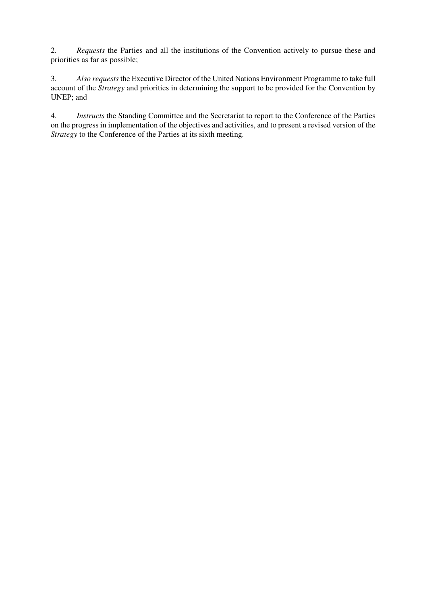2. *Requests* the Parties and all the institutions of the Convention actively to pursue these and priorities as far as possible;

3. *Also requests* the Executive Director of the United Nations Environment Programme to take full account of the *Strategy* and priorities in determining the support to be provided for the Convention by UNEP; and

4. *Instructs* the Standing Committee and the Secretariat to report to the Conference of the Parties on the progress in implementation of the objectives and activities, and to present a revised version of the *Strategy* to the Conference of the Parties at its sixth meeting.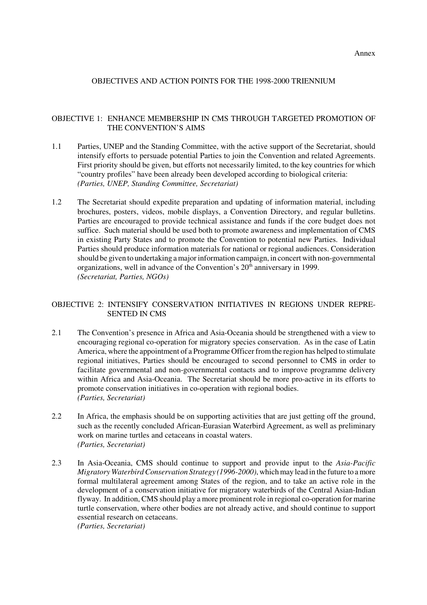Annex

## OBJECTIVES AND ACTION POINTS FOR THE 1998-2000 TRIENNIUM

## OBJECTIVE 1: ENHANCE MEMBERSHIP IN CMS THROUGH TARGETED PROMOTION OF THE CONVENTION'S AIMS

- 1.1 Parties, UNEP and the Standing Committee, with the active support of the Secretariat, should intensify efforts to persuade potential Parties to join the Convention and related Agreements. First priority should be given, but efforts not necessarily limited, to the key countries for which "country profiles" have been already been developed according to biological criteria: *(Parties, UNEP, Standing Committee, Secretariat)*
- 1.2 The Secretariat should expedite preparation and updating of information material, including brochures, posters, videos, mobile displays, a Convention Directory, and regular bulletins. Parties are encouraged to provide technical assistance and funds if the core budget does not suffice. Such material should be used both to promote awareness and implementation of CMS in existing Party States and to promote the Convention to potential new Parties. Individual Parties should produce information materials for national or regional audiences. Consideration should be given to undertaking a major information campaign, in concert with non-governmental organizations, well in advance of the Convention's 20<sup>th</sup> anniversary in 1999. *(Secretariat, Parties, NGOs)*

# OBJECTIVE 2: INTENSIFY CONSERVATION INITIATIVES IN REGIONS UNDER REPRE- SENTED IN CMS

- 2.1 The Convention's presence in Africa and Asia-Oceania should be strengthened with a view to encouraging regional co-operation for migratory species conservation. As in the case of Latin America, where the appointment of a Programme Officer from the region has helped to stimulate regional initiatives, Parties should be encouraged to second personnel to CMS in order to facilitate governmental and non-governmental contacts and to improve programme delivery within Africa and Asia-Oceania. The Secretariat should be more pro-active in its efforts to promote conservation initiatives in co-operation with regional bodies. *(Parties, Secretariat)*
- 2.2 In Africa, the emphasis should be on supporting activities that are just getting off the ground, such as the recently concluded African-Eurasian Waterbird Agreement, as well as preliminary work on marine turtles and cetaceans in coastal waters. *(Parties, Secretariat)*
- 2.3 In Asia-Oceania, CMS should continue to support and provide input to the *Asia-Pacific Migratory Waterbird Conservation Strategy (1996-2000)*, which may lead in the future to a more formal multilateral agreement among States of the region, and to take an active role in the development of a conservation initiative for migratory waterbirds of the Central Asian-Indian flyway. In addition, CMS should play a more prominent role in regional co-operation for marine turtle conservation, where other bodies are not already active, and should continue to support essential research on cetaceans. *(Parties, Secretariat)*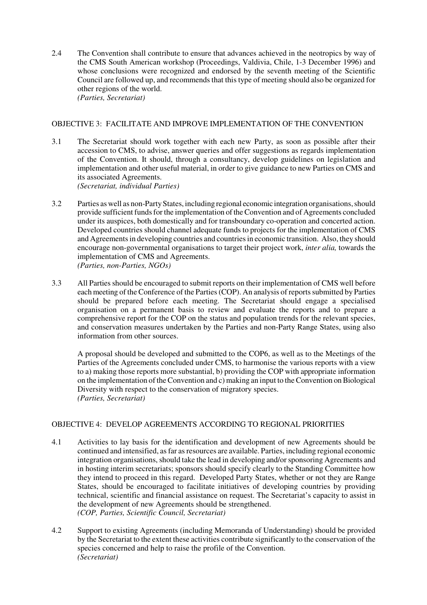2.4 The Convention shall contribute to ensure that advances achieved in the neotropics by way of the CMS South American workshop (Proceedings, Valdivia, Chile, 1-3 December 1996) and whose conclusions were recognized and endorsed by the seventh meeting of the Scientific Council are followed up, and recommends that this type of meeting should also be organized for other regions of the world. *(Parties, Secretariat)*

## OBJECTIVE 3: FACILITATE AND IMPROVE IMPLEMENTATION OF THE CONVENTION

- 3.1 The Secretariat should work together with each new Party, as soon as possible after their accession to CMS, to advise, answer queries and offer suggestions as regards implementation of the Convention. It should, through a consultancy, develop guidelines on legislation and implementation and other useful material, in order to give guidance to new Parties on CMS and its associated Agreements. *(Secretariat, individual Parties)*
- 3.2 Parties as well as non-Party States, including regional economic integration organisations, should provide sufficient funds for the implementation of the Convention and of Agreements concluded under its auspices, both domestically and for transboundary co-operation and concerted action. Developed countries should channel adequate funds to projects for the implementation of CMS and Agreements in developing countries and countries in economic transition. Also, they should encourage non-governmental organisations to target their project work, *inter alia,* towards the implementation of CMS and Agreements. *(Parties, non-Parties, NGOs)*
- 3.3 All Parties should be encouraged to submit reports on their implementation of CMS well before each meeting of the Conference of the Parties (COP). An analysis of reports submitted by Parties should be prepared before each meeting. The Secretariat should engage a specialised organisation on a permanent basis to review and evaluate the reports and to prepare a comprehensive report for the COP on the status and population trends for the relevant species, and conservation measures undertaken by the Parties and non-Party Range States, using also information from other sources.

A proposal should be developed and submitted to the COP6, as well as to the Meetings of the Parties of the Agreements concluded under CMS, to harmonise the various reports with a view to a) making those reports more substantial, b) providing the COP with appropriate information on the implementation of the Convention and c) making an input to the Convention on Biological Diversity with respect to the conservation of migratory species. *(Parties, Secretariat)*

# OBJECTIVE 4: DEVELOP AGREEMENTS ACCORDING TO REGIONAL PRIORITIES

- 4.1 Activities to lay basis for the identification and development of new Agreements should be continued and intensified, as far as resources are available. Parties, including regional economic integration organisations, should take the lead in developing and/or sponsoring Agreements and in hosting interim secretariats; sponsors should specify clearly to the Standing Committee how they intend to proceed in this regard. Developed Party States, whether or not they are Range States, should be encouraged to facilitate initiatives of developing countries by providing technical, scientific and financial assistance on request. The Secretariat's capacity to assist in the development of new Agreements should be strengthened. *(COP, Parties, Scientific Council, Secretariat)*
- 4.2 Support to existing Agreements (including Memoranda of Understanding) should be provided by the Secretariat to the extent these activities contribute significantly to the conservation of the species concerned and help to raise the profile of the Convention. *(Secretariat)*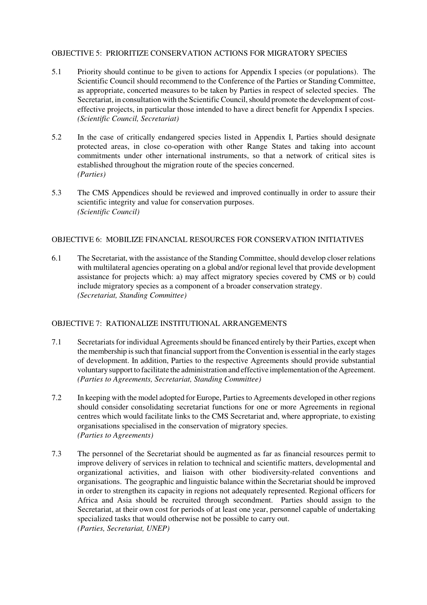## OBJECTIVE 5: PRIORITIZE CONSERVATION ACTIONS FOR MIGRATORY SPECIES

- 5.1 Priority should continue to be given to actions for Appendix I species (or populations). The Scientific Council should recommend to the Conference of the Parties or Standing Committee, as appropriate, concerted measures to be taken by Parties in respect of selected species. The Secretariat, in consultation with the Scientific Council, should promote the development of costeffective projects, in particular those intended to have a direct benefit for Appendix I species. *(Scientific Council, Secretariat)*
- 5.2 In the case of critically endangered species listed in Appendix I, Parties should designate protected areas, in close co-operation with other Range States and taking into account commitments under other international instruments, so that a network of critical sites is established throughout the migration route of the species concerned. *(Parties)*
- 5.3 The CMS Appendices should be reviewed and improved continually in order to assure their scientific integrity and value for conservation purposes. *(Scientific Council)*

# OBJECTIVE 6: MOBILIZE FINANCIAL RESOURCES FOR CONSERVATION INITIATIVES

6.1 The Secretariat, with the assistance of the Standing Committee, should develop closer relations with multilateral agencies operating on a global and/or regional level that provide development assistance for projects which: a) may affect migratory species covered by CMS or b) could include migratory species as a component of a broader conservation strategy. *(Secretariat, Standing Committee)*

# OBJECTIVE 7: RATIONALIZE INSTITUTIONAL ARRANGEMENTS

- 7.1 Secretariats for individual Agreements should be financed entirely by their Parties, except when the membership is such that financial support from the Convention is essential in the early stages of development. In addition, Parties to the respective Agreements should provide substantial voluntary support to facilitate the administration and effective implementation of the Agreement. *(Parties to Agreements, Secretariat, Standing Committee)*
- 7.2 In keeping with the model adopted for Europe, Parties to Agreements developed in other regions should consider consolidating secretariat functions for one or more Agreements in regional centres which would facilitate links to the CMS Secretariat and, where appropriate, to existing organisations specialised in the conservation of migratory species. *(Parties to Agreements)*
- 7.3 The personnel of the Secretariat should be augmented as far as financial resources permit to improve delivery of services in relation to technical and scientific matters, developmental and organizational activities, and liaison with other biodiversity-related conventions and organisations. The geographic and linguistic balance within the Secretariat should be improved in order to strengthen its capacity in regions not adequately represented. Regional officers for Africa and Asia should be recruited through secondment. Parties should assign to the Secretariat, at their own cost for periods of at least one year, personnel capable of undertaking specialized tasks that would otherwise not be possible to carry out. *(Parties, Secretariat, UNEP)*